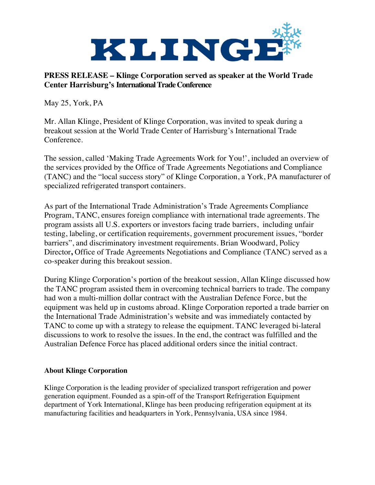

## **PRESS RELEASE – Klinge Corporation served as speaker at the World Trade Center Harrisburg's International Trade Conference**

May 25, York, PA

Mr. Allan Klinge, President of Klinge Corporation, was invited to speak during a breakout session at the World Trade Center of Harrisburg's International Trade Conference.

The session, called 'Making Trade Agreements Work for You!', included an overview of the services provided by the Office of Trade Agreements Negotiations and Compliance (TANC) and the "local success story" of Klinge Corporation, a York, PA manufacturer of specialized refrigerated transport containers.

As part of the International Trade Administration's Trade Agreements Compliance Program, TANC, ensures foreign compliance with international trade agreements. The program assists all U.S. exporters or investors facing trade barriers, including unfair testing, labeling, or certification requirements, government procurement issues, "border barriers", and discriminatory investment requirements. Brian Woodward, Policy Director**,** Office of Trade Agreements Negotiations and Compliance (TANC) served as a co-speaker during this breakout session.

During Klinge Corporation's portion of the breakout session, Allan Klinge discussed how the TANC program assisted them in overcoming technical barriers to trade. The company had won a multi-million dollar contract with the Australian Defence Force, but the equipment was held up in customs abroad. Klinge Corporation reported a trade barrier on the International Trade Administration's website and was immediately contacted by TANC to come up with a strategy to release the equipment. TANC leveraged bi-lateral discussions to work to resolve the issues. In the end, the contract was fulfilled and the Australian Defence Force has placed additional orders since the initial contract.

## **About Klinge Corporation**

Klinge Corporation is the leading provider of specialized transport refrigeration and power generation equipment. Founded as a spin-off of the Transport Refrigeration Equipment department of York International, Klinge has been producing refrigeration equipment at its manufacturing facilities and headquarters in York, Pennsylvania, USA since 1984.